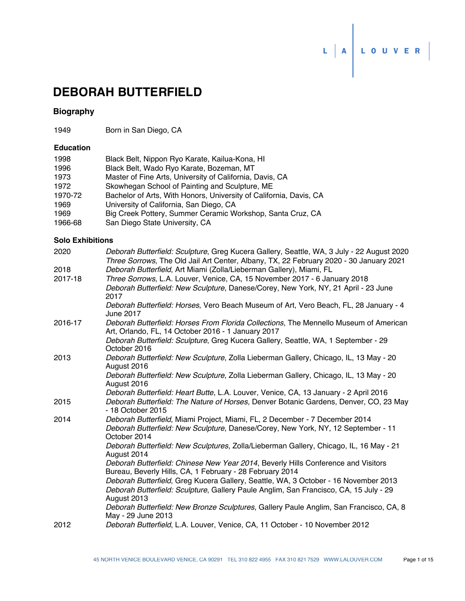# **DEBORAH BUTTERFIELD**

## **Biography**

1949 Born in San Diego, CA

## **Education**

| 1998    | Black Belt, Nippon Ryo Karate, Kailua-Kona, HI                     |
|---------|--------------------------------------------------------------------|
| 1996    | Black Belt, Wado Ryo Karate, Bozeman, MT                           |
| 1973    | Master of Fine Arts, University of California, Davis, CA           |
| 1972    | Skowhegan School of Painting and Sculpture, ME                     |
| 1970-72 | Bachelor of Arts, With Honors, University of California, Davis, CA |
| 1969    | University of California, San Diego, CA                            |
| 1969    | Big Creek Pottery, Summer Ceramic Workshop, Santa Cruz, CA         |
| 1966-68 | San Diego State University, CA                                     |

L A LOUVER

## **Solo Exhibitions**

| 2020    | Deborah Butterfield: Sculpture, Greg Kucera Gallery, Seattle, WA, 3 July - 22 August 2020<br>Three Sorrows, The Old Jail Art Center, Albany, TX, 22 February 2020 - 30 January 2021 |
|---------|-------------------------------------------------------------------------------------------------------------------------------------------------------------------------------------|
| 2018    | Deborah Butterfield, Art Miami (Zolla/Lieberman Gallery), Miami, FL                                                                                                                 |
| 2017-18 | Three Sorrows, L.A. Louver, Venice, CA, 15 November 2017 - 6 January 2018                                                                                                           |
|         | Deborah Butterfield: New Sculpture, Danese/Corey, New York, NY, 21 April - 23 June<br>2017                                                                                          |
|         | Deborah Butterfield: Horses, Vero Beach Museum of Art, Vero Beach, FL, 28 January - 4<br>June 2017                                                                                  |
| 2016-17 | Deborah Butterfield: Horses From Florida Collections, The Mennello Museum of American<br>Art, Orlando, FL, 14 October 2016 - 1 January 2017                                         |
|         | Deborah Butterfield: Sculpture, Greg Kucera Gallery, Seattle, WA, 1 September - 29<br>October 2016                                                                                  |
| 2013    | Deborah Butterfield: New Sculpture, Zolla Lieberman Gallery, Chicago, IL, 13 May - 20<br>August 2016                                                                                |
|         | Deborah Butterfield: New Sculpture, Zolla Lieberman Gallery, Chicago, IL, 13 May - 20<br>August 2016                                                                                |
| 2015    | Deborah Butterfield: Heart Butte, L.A. Louver, Venice, CA, 13 January - 2 April 2016<br>Deborah Butterfield: The Nature of Horses, Denver Botanic Gardens, Denver, CO, 23 May       |
|         | - 18 October 2015                                                                                                                                                                   |
| 2014    | Deborah Butterfield, Miami Project, Miami, FL, 2 December - 7 December 2014                                                                                                         |
|         | Deborah Butterfield: New Sculpture, Danese/Corey, New York, NY, 12 September - 11<br>October 2014                                                                                   |
|         | Deborah Butterfield: New Sculptures, Zolla/Lieberman Gallery, Chicago, IL, 16 May - 21<br>August 2014                                                                               |
|         | Deborah Butterfield: Chinese New Year 2014, Beverly Hills Conference and Visitors<br>Bureau, Beverly Hills, CA, 1 February - 28 February 2014                                       |
|         | Deborah Butterfield, Greg Kucera Gallery, Seattle, WA, 3 October - 16 November 2013                                                                                                 |
|         | Deborah Butterfield: Sculpture, Gallery Paule Anglim, San Francisco, CA, 15 July - 29<br>August 2013                                                                                |
|         | Deborah Butterfield: New Bronze Sculptures, Gallery Paule Anglim, San Francisco, CA, 8<br>May - 29 June 2013                                                                        |
| 2012    | Deborah Butterfield, L.A. Louver, Venice, CA, 11 October - 10 November 2012                                                                                                         |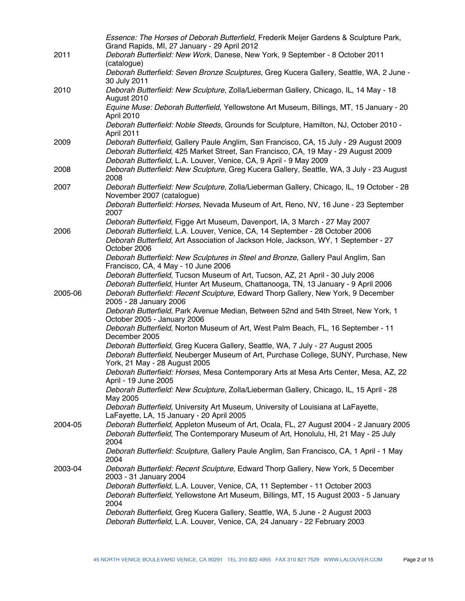|         | Essence: The Horses of Deborah Butterfield, Frederik Meijer Gardens & Sculpture Park,<br>Grand Rapids, MI, 27 January - 29 April 2012                                                                                                              |
|---------|----------------------------------------------------------------------------------------------------------------------------------------------------------------------------------------------------------------------------------------------------|
| 2011    | Deborah Butterfield: New Work, Danese, New York, 9 September - 8 October 2011<br>(catalogue)                                                                                                                                                       |
|         | Deborah Butterfield: Seven Bronze Sculptures, Greg Kucera Gallery, Seattle, WA, 2 June -<br>30 July 2011                                                                                                                                           |
| 2010    | Deborah Butterfield: New Sculpture, Zolla/Lieberman Gallery, Chicago, IL, 14 May - 18<br>August 2010                                                                                                                                               |
|         | Equine Muse: Deborah Butterfield, Yellowstone Art Museum, Billings, MT, 15 January - 20<br>April 2010                                                                                                                                              |
|         | Deborah Butterfield: Noble Steeds, Grounds for Sculpture, Hamilton, NJ, October 2010 -<br>April 2011                                                                                                                                               |
| 2009    | Deborah Butterfield, Gallery Paule Anglim, San Francisco, CA, 15 July - 29 August 2009<br>Deborah Butterfield, 425 Market Street, San Francisco, CA, 19 May - 29 August 2009<br>Deborah Butterfield, L.A. Louver, Venice, CA, 9 April - 9 May 2009 |
| 2008    | Deborah Butterfield: New Sculpture, Greg Kucera Gallery, Seattle, WA, 3 July - 23 August<br>2008                                                                                                                                                   |
| 2007    | Deborah Butterfield: New Sculpture, Zolla/Lieberman Gallery, Chicago, IL, 19 October - 28<br>November 2007 (catalogue)                                                                                                                             |
|         | Deborah Butterfield: Horses, Nevada Museum of Art, Reno, NV, 16 June - 23 September<br>2007                                                                                                                                                        |
| 2006    | Deborah Butterfield, Figge Art Museum, Davenport, IA, 3 March - 27 May 2007<br>Deborah Butterfield, L.A. Louver, Venice, CA, 14 September - 28 October 2006                                                                                        |
|         | Deborah Butterfield, Art Association of Jackson Hole, Jackson, WY, 1 September - 27<br>October 2006                                                                                                                                                |
|         | Deborah Butterfield: New Sculptures in Steel and Bronze, Gallery Paul Anglim, San<br>Francisco, CA, 4 May - 10 June 2006                                                                                                                           |
|         | Deborah Butterfield, Tucson Museum of Art, Tucson, AZ, 21 April - 30 July 2006<br>Deborah Butterfield, Hunter Art Museum, Chattanooga, TN, 13 January - 9 April 2006                                                                               |
| 2005-06 | Deborah Butterfield: Recent Sculpture, Edward Thorp Gallery, New York, 9 December<br>2005 - 28 January 2006                                                                                                                                        |
|         | Deborah Butterfield, Park Avenue Median, Between 52nd and 54th Street, New York, 1<br>October 2005 - January 2006                                                                                                                                  |
|         | Deborah Butterfield, Norton Museum of Art, West Palm Beach, FL, 16 September - 11<br>December 2005                                                                                                                                                 |
|         | Deborah Butterfield, Greg Kucera Gallery, Seattle, WA, 7 July - 27 August 2005<br>Deborah Butterfield, Neuberger Museum of Art, Purchase College, SUNY, Purchase, New<br>York, 21 May - 28 August 2005                                             |
|         | Deborah Butterfield: Horses, Mesa Contemporary Arts at Mesa Arts Center, Mesa, AZ, 22<br>April - 19 June 2005                                                                                                                                      |
|         | Deborah Butterfield: New Sculpture, Zolla/Lieberman Gallery, Chicago, IL, 15 April - 28<br>May 2005                                                                                                                                                |
|         | Deborah Butterfield, University Art Museum, University of Louisiana at LaFayette,<br>LaFayette, LA, 15 January - 20 April 2005                                                                                                                     |
| 2004-05 | Deborah Butterfield, Appleton Museum of Art, Ocala, FL, 27 August 2004 - 2 January 2005<br>Deborah Butterfield, The Contemporary Museum of Art, Honolulu, HI, 21 May - 25 July                                                                     |
|         | 2004<br>Deborah Butterfield: Sculpture, Gallery Paule Anglim, San Francisco, CA, 1 April - 1 May                                                                                                                                                   |
| 2003-04 | 2004<br>Deborah Butterfield: Recent Sculpture, Edward Thorp Gallery, New York, 5 December<br>2003 - 31 January 2004                                                                                                                                |
|         | Deborah Butterfield, L.A. Louver, Venice, CA, 11 September - 11 October 2003<br>Deborah Butterfield, Yellowstone Art Museum, Billings, MT, 15 August 2003 - 5 January                                                                              |
|         | 2004<br>Deborah Butterfield, Greg Kucera Gallery, Seattle, WA, 5 June - 2 August 2003<br>Deborah Butterfield, L.A. Louver, Venice, CA, 24 January - 22 February 2003                                                                               |
|         |                                                                                                                                                                                                                                                    |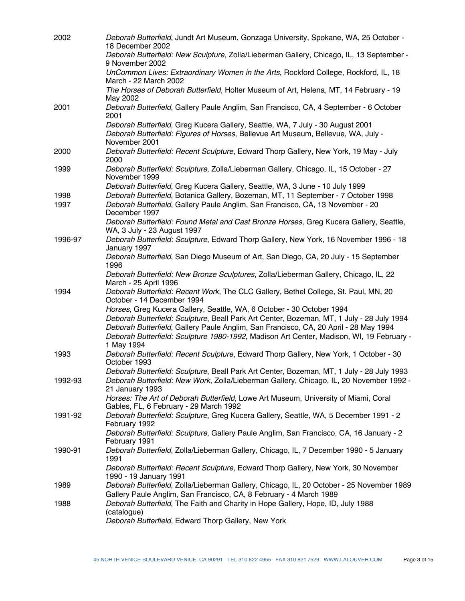| 2002    | Deborah Butterfield, Jundt Art Museum, Gonzaga University, Spokane, WA, 25 October -<br>18 December 2002                                                                                                |
|---------|---------------------------------------------------------------------------------------------------------------------------------------------------------------------------------------------------------|
|         | Deborah Butterfield: New Sculpture, Zolla/Lieberman Gallery, Chicago, IL, 13 September -<br>9 November 2002                                                                                             |
|         | UnCommon Lives: Extraordinary Women in the Arts, Rockford College, Rockford, IL, 18<br>March - 22 March 2002                                                                                            |
|         | The Horses of Deborah Butterfield, Holter Museum of Art, Helena, MT, 14 February - 19<br>May 2002                                                                                                       |
| 2001    | Deborah Butterfield, Gallery Paule Anglim, San Francisco, CA, 4 September - 6 October<br>2001                                                                                                           |
|         | Deborah Butterfield, Greg Kucera Gallery, Seattle, WA, 7 July - 30 August 2001<br>Deborah Butterfield: Figures of Horses, Bellevue Art Museum, Bellevue, WA, July -<br>November 2001                    |
| 2000    | Deborah Butterfield: Recent Sculpture, Edward Thorp Gallery, New York, 19 May - July<br>2000                                                                                                            |
| 1999    | Deborah Butterfield: Sculpture, Zolla/Lieberman Gallery, Chicago, IL, 15 October - 27<br>November 1999                                                                                                  |
|         | Deborah Butterfield, Greg Kucera Gallery, Seattle, WA, 3 June - 10 July 1999                                                                                                                            |
| 1998    | Deborah Butterfield, Botanica Gallery, Bozeman, MT, 11 September - 7 October 1998                                                                                                                       |
| 1997    | Deborah Butterfield, Gallery Paule Anglim, San Francisco, CA, 13 November - 20<br>December 1997                                                                                                         |
|         | Deborah Butterfield: Found Metal and Cast Bronze Horses, Greg Kucera Gallery, Seattle,<br>WA, 3 July - 23 August 1997                                                                                   |
| 1996-97 | Deborah Butterfield: Sculpture, Edward Thorp Gallery, New York, 16 November 1996 - 18<br>January 1997                                                                                                   |
|         | Deborah Butterfield, San Diego Museum of Art, San Diego, CA, 20 July - 15 September<br>1996                                                                                                             |
|         | Deborah Butterfield: New Bronze Sculptures, Zolla/Lieberman Gallery, Chicago, IL, 22<br>March - 25 April 1996                                                                                           |
| 1994    | Deborah Butterfield: Recent Work, The CLC Gallery, Bethel College, St. Paul, MN, 20<br>October - 14 December 1994                                                                                       |
|         | Horses, Greg Kucera Gallery, Seattle, WA, 6 October - 30 October 1994                                                                                                                                   |
|         | Deborah Butterfield: Sculpture, Beall Park Art Center, Bozeman, MT, 1 July - 28 July 1994                                                                                                               |
|         | Deborah Butterfield, Gallery Paule Anglim, San Francisco, CA, 20 April - 28 May 1994<br>Deborah Butterfield: Sculpture 1980-1992, Madison Art Center, Madison, WI, 19 February -<br>1 May 1994          |
| 1993    | Deborah Butterfield: Recent Sculpture, Edward Thorp Gallery, New York, 1 October - 30<br>October 1993                                                                                                   |
| 1992-93 | Deborah Butterfield: Sculpture, Beall Park Art Center, Bozeman, MT, 1 July - 28 July 1993<br>Deborah Butterfield: New Work, Zolla/Lieberman Gallery, Chicago, IL, 20 November 1992 -<br>21 January 1993 |
|         | Horses: The Art of Deborah Butterfield, Lowe Art Museum, University of Miami, Coral<br>Gables, FL, 6 February - 29 March 1992                                                                           |
| 1991-92 | Deborah Butterfield: Sculpture, Greg Kucera Gallery, Seattle, WA, 5 December 1991 - 2<br>February 1992                                                                                                  |
|         | Deborah Butterfield: Sculpture, Gallery Paule Anglim, San Francisco, CA, 16 January - 2<br>February 1991                                                                                                |
| 1990-91 | Deborah Butterfield, Zolla/Lieberman Gallery, Chicago, IL, 7 December 1990 - 5 January<br>1991                                                                                                          |
|         | Deborah Butterfield: Recent Sculpture, Edward Thorp Gallery, New York, 30 November<br>1990 - 19 January 1991                                                                                            |
| 1989    | Deborah Butterfield, Zolla/Lieberman Gallery, Chicago, IL, 20 October - 25 November 1989                                                                                                                |
|         | Gallery Paule Anglim, San Francisco, CA, 8 February - 4 March 1989                                                                                                                                      |
| 1988    | Deborah Butterfield, The Faith and Charity in Hope Gallery, Hope, ID, July 1988<br>(catalogue)                                                                                                          |
|         | Deborah Butterfield, Edward Thorp Gallery, New York                                                                                                                                                     |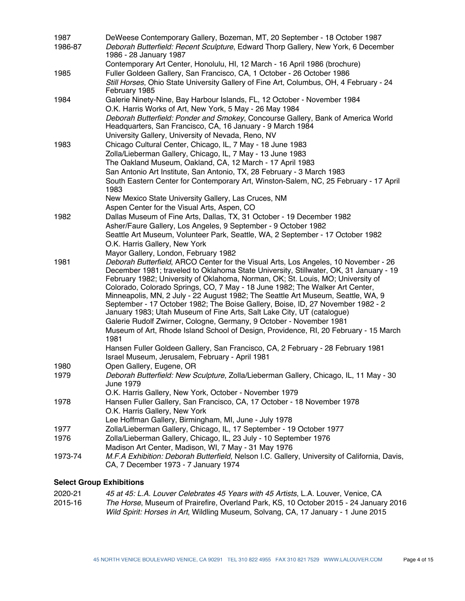| 1987    | DeWeese Contemporary Gallery, Bozeman, MT, 20 September - 18 October 1987                                                                                                                                                                                                                                                     |
|---------|-------------------------------------------------------------------------------------------------------------------------------------------------------------------------------------------------------------------------------------------------------------------------------------------------------------------------------|
| 1986-87 | Deborah Butterfield: Recent Sculpture, Edward Thorp Gallery, New York, 6 December<br>1986 - 28 January 1987                                                                                                                                                                                                                   |
|         | Contemporary Art Center, Honolulu, HI, 12 March - 16 April 1986 (brochure)                                                                                                                                                                                                                                                    |
| 1985    | Fuller Goldeen Gallery, San Francisco, CA, 1 October - 26 October 1986                                                                                                                                                                                                                                                        |
|         | Still Horses, Ohio State University Gallery of Fine Art, Columbus, OH, 4 February - 24<br>February 1985                                                                                                                                                                                                                       |
| 1984    | Galerie Ninety-Nine, Bay Harbour Islands, FL, 12 October - November 1984                                                                                                                                                                                                                                                      |
|         | O.K. Harris Works of Art, New York, 5 May - 26 May 1984                                                                                                                                                                                                                                                                       |
|         | Deborah Butterfield: Ponder and Smokey, Concourse Gallery, Bank of America World<br>Headquarters, San Francisco, CA, 16 January - 9 March 1984                                                                                                                                                                                |
|         | University Gallery, University of Nevada, Reno, NV                                                                                                                                                                                                                                                                            |
| 1983    | Chicago Cultural Center, Chicago, IL, 7 May - 18 June 1983                                                                                                                                                                                                                                                                    |
|         | Zolla/Lieberman Gallery, Chicago, IL, 7 May - 13 June 1983                                                                                                                                                                                                                                                                    |
|         | The Oakland Museum, Oakland, CA, 12 March - 17 April 1983<br>San Antonio Art Institute, San Antonio, TX, 28 February - 3 March 1983                                                                                                                                                                                           |
|         | South Eastern Center for Contemporary Art, Winston-Salem, NC, 25 February - 17 April<br>1983                                                                                                                                                                                                                                  |
|         | New Mexico State University Gallery, Las Cruces, NM                                                                                                                                                                                                                                                                           |
|         | Aspen Center for the Visual Arts, Aspen, CO                                                                                                                                                                                                                                                                                   |
| 1982    | Dallas Museum of Fine Arts, Dallas, TX, 31 October - 19 December 1982                                                                                                                                                                                                                                                         |
|         | Asher/Faure Gallery, Los Angeles, 9 September - 9 October 1982                                                                                                                                                                                                                                                                |
|         | Seattle Art Museum, Volunteer Park, Seattle, WA, 2 September - 17 October 1982                                                                                                                                                                                                                                                |
|         | O.K. Harris Gallery, New York                                                                                                                                                                                                                                                                                                 |
|         | Mayor Gallery, London, February 1982                                                                                                                                                                                                                                                                                          |
| 1981    | Deborah Butterfield, ARCO Center for the Visual Arts, Los Angeles, 10 November - 26<br>December 1981; traveled to Oklahoma State University, Stillwater, OK, 31 January - 19<br>February 1982; University of Oklahoma, Norman, OK; St. Louis, MO; University of                                                               |
|         | Colorado, Colorado Springs, CO, 7 May - 18 June 1982; The Walker Art Center,<br>Minneapolis, MN, 2 July - 22 August 1982; The Seattle Art Museum, Seattle, WA, 9<br>September - 17 October 1982; The Boise Gallery, Boise, ID, 27 November 1982 - 2<br>January 1983; Utah Museum of Fine Arts, Salt Lake City, UT (catalogue) |
|         | Galerie Rudolf Zwirner, Cologne, Germany, 9 October - November 1981                                                                                                                                                                                                                                                           |
|         | Museum of Art, Rhode Island School of Design, Providence, RI, 20 February - 15 March<br>1981                                                                                                                                                                                                                                  |
|         | Hansen Fuller Goldeen Gallery, San Francisco, CA, 2 February - 28 February 1981<br>Israel Museum, Jerusalem, February - April 1981                                                                                                                                                                                            |
| 1980    | Open Gallery, Eugene, OR                                                                                                                                                                                                                                                                                                      |
| 1979    | Deborah Butterfield: New Sculpture, Zolla/Lieberman Gallery, Chicago, IL, 11 May - 30<br>June 1979                                                                                                                                                                                                                            |
|         | O.K. Harris Gallery, New York, October - November 1979                                                                                                                                                                                                                                                                        |
| 1978    | Hansen Fuller Gallery, San Francisco, CA, 17 October - 18 November 1978                                                                                                                                                                                                                                                       |
|         | O.K. Harris Gallery, New York                                                                                                                                                                                                                                                                                                 |
|         | Lee Hoffman Gallery, Birmingham, MI, June - July 1978                                                                                                                                                                                                                                                                         |
| 1977    | Zolla/Lieberman Gallery, Chicago, IL, 17 September - 19 October 1977                                                                                                                                                                                                                                                          |
| 1976    | Zolla/Lieberman Gallery, Chicago, IL, 23 July - 10 September 1976                                                                                                                                                                                                                                                             |
|         | Madison Art Center, Madison, WI, 7 May - 31 May 1976                                                                                                                                                                                                                                                                          |
| 1973-74 | M.F.A Exhibition: Deborah Butterfield, Nelson I.C. Gallery, University of California, Davis,<br>CA, 7 December 1973 - 7 January 1974                                                                                                                                                                                          |

## **Select Group Exhibitions**

| 2020-21 | 45 at 45: L.A. Louver Celebrates 45 Years with 45 Artists, L.A. Louver, Venice, CA         |
|---------|--------------------------------------------------------------------------------------------|
| 2015-16 | The Horse, Museum of Prairefire, Overland Park, KS, 10 October 2015 - 24 January 2016      |
|         | <i>Wild Spirit: Horses in Art</i> , Wildling Museum, Solvang, CA, 17 January - 1 June 2015 |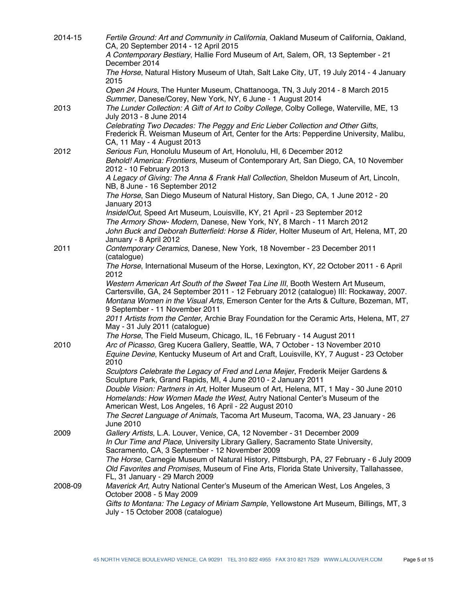| 2014-15 | Fertile Ground: Art and Community in California, Oakland Museum of California, Oakland,<br>CA, 20 September 2014 - 12 April 2015<br>A Contemporary Bestiary, Hallie Ford Museum of Art, Salem, OR, 13 September - 21                                                |
|---------|---------------------------------------------------------------------------------------------------------------------------------------------------------------------------------------------------------------------------------------------------------------------|
|         | December 2014<br>The Horse, Natural History Museum of Utah, Salt Lake City, UT, 19 July 2014 - 4 January<br>2015                                                                                                                                                    |
|         | Open 24 Hours, The Hunter Museum, Chattanooga, TN, 3 July 2014 - 8 March 2015<br>Summer, Danese/Corey, New York, NY, 6 June - 1 August 2014                                                                                                                         |
| 2013    | The Lunder Collection: A Gift of Art to Colby College, Colby College, Waterville, ME, 13<br>July 2013 - 8 June 2014                                                                                                                                                 |
|         | Celebrating Two Decades: The Peggy and Eric Lieber Collection and Other Gifts,<br>Frederick R. Weisman Museum of Art, Center for the Arts: Pepperdine University, Malibu,<br>CA, 11 May - 4 August 2013                                                             |
| 2012    | Serious Fun, Honolulu Museum of Art, Honolulu, HI, 6 December 2012<br>Behold! America: Frontiers, Museum of Contemporary Art, San Diego, CA, 10 November<br>2012 - 10 February 2013                                                                                 |
|         | A Legacy of Giving: The Anna & Frank Hall Collection, Sheldon Museum of Art, Lincoln,<br>NB, 8 June - 16 September 2012                                                                                                                                             |
|         | The Horse, San Diego Museum of Natural History, San Diego, CA, 1 June 2012 - 20<br>January 2013                                                                                                                                                                     |
|         | InsidelOut, Speed Art Museum, Louisville, KY, 21 April - 23 September 2012                                                                                                                                                                                          |
|         | The Armory Show- Modern, Danese, New York, NY, 8 March - 11 March 2012<br>John Buck and Deborah Butterfield: Horse & Rider, Holter Museum of Art, Helena, MT, 20<br>January - 8 April 2012                                                                          |
| 2011    | Contemporary Ceramics, Danese, New York, 18 November - 23 December 2011<br>(catalogue)                                                                                                                                                                              |
|         | The Horse, International Museum of the Horse, Lexington, KY, 22 October 2011 - 6 April<br>2012                                                                                                                                                                      |
|         | Western American Art South of the Sweet Tea Line III, Booth Western Art Museum,<br>Cartersville, GA, 24 September 2011 - 12 February 2012 (catalogue) III: Rockaway, 2007.<br>Montana Women in the Visual Arts, Emerson Center for the Arts & Culture, Bozeman, MT, |
|         | 9 September - 11 November 2011<br>2011 Artists from the Center, Archie Bray Foundation for the Ceramic Arts, Helena, MT, 27                                                                                                                                         |
|         | May - 31 July 2011 (catalogue)                                                                                                                                                                                                                                      |
| 2010    | The Horse, The Field Museum, Chicago, IL, 16 February - 14 August 2011<br>Arc of Picasso, Greg Kucera Gallery, Seattle, WA, 7 October - 13 November 2010                                                                                                            |
|         | Equine Devine, Kentucky Museum of Art and Craft, Louisville, KY, 7 August - 23 October<br>2010                                                                                                                                                                      |
|         | Sculptors Celebrate the Legacy of Fred and Lena Meijer, Frederik Meijer Gardens &<br>Sculpture Park, Grand Rapids, MI, 4 June 2010 - 2 January 2011                                                                                                                 |
|         | Double Vision: Partners in Art, Holter Museum of Art, Helena, MT, 1 May - 30 June 2010<br>Homelands: How Women Made the West, Autry National Center's Museum of the<br>American West, Los Angeles, 16 April - 22 August 2010                                        |
|         | The Secret Language of Animals, Tacoma Art Museum, Tacoma, WA, 23 January - 26<br>June 2010                                                                                                                                                                         |
| 2009    | Gallery Artists, L.A. Louver, Venice, CA, 12 November - 31 December 2009<br>In Our Time and Place, University Library Gallery, Sacramento State University,                                                                                                         |
|         | Sacramento, CA, 3 September - 12 November 2009                                                                                                                                                                                                                      |
|         | The Horse, Carnegie Museum of Natural History, Pittsburgh, PA, 27 February - 6 July 2009<br>Old Favorites and Promises, Museum of Fine Arts, Florida State University, Tallahassee,<br>FL, 31 January - 29 March 2009                                               |
| 2008-09 | Maverick Art, Autry National Center's Museum of the American West, Los Angeles, 3<br>October 2008 - 5 May 2009                                                                                                                                                      |
|         | Gifts to Montana: The Legacy of Miriam Sample, Yellowstone Art Museum, Billings, MT, 3<br>July - 15 October 2008 (catalogue)                                                                                                                                        |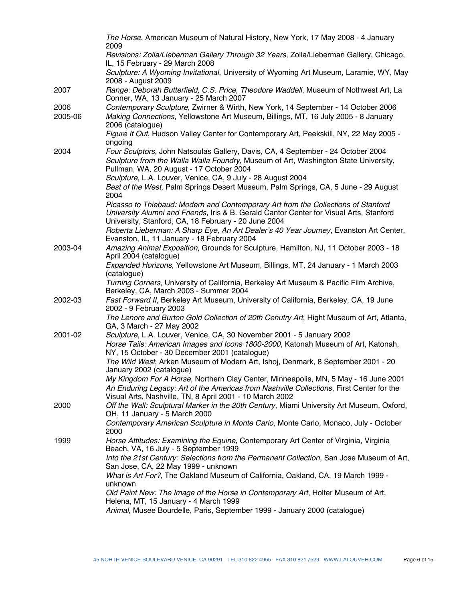|         | The Horse, American Museum of Natural History, New York, 17 May 2008 - 4 January<br>2009                                                                                                                                             |
|---------|--------------------------------------------------------------------------------------------------------------------------------------------------------------------------------------------------------------------------------------|
|         | Revisions: Zolla/Lieberman Gallery Through 32 Years, Zolla/Lieberman Gallery, Chicago,<br>IL, 15 February - 29 March 2008                                                                                                            |
|         | Sculpture: A Wyoming Invitational, University of Wyoming Art Museum, Laramie, WY, May<br>2008 - August 2009                                                                                                                          |
| 2007    | Range: Deborah Butterfield, C.S. Price, Theodore Waddell, Museum of Nothwest Art, La<br>Conner, WA, 13 January - 25 March 2007                                                                                                       |
| 2006    | Contemporary Sculpture, Zwirner & Wirth, New York, 14 September - 14 October 2006                                                                                                                                                    |
| 2005-06 | Making Connections, Yellowstone Art Museum, Billings, MT, 16 July 2005 - 8 January<br>2006 (catalogue)                                                                                                                               |
|         | Figure It Out, Hudson Valley Center for Contemporary Art, Peekskill, NY, 22 May 2005 -<br>ongoing                                                                                                                                    |
| 2004    | Four Sculptors, John Natsoulas Gallery, Davis, CA, 4 September - 24 October 2004<br>Sculpture from the Walla Walla Foundry, Museum of Art, Washington State University,<br>Pullman, WA, 20 August - 17 October 2004                  |
|         | Sculpture, L.A. Louver, Venice, CA, 9 July - 28 August 2004                                                                                                                                                                          |
|         | Best of the West, Palm Springs Desert Museum, Palm Springs, CA, 5 June - 29 August<br>2004                                                                                                                                           |
|         | Picasso to Thiebaud: Modern and Contemporary Art from the Collections of Stanford<br>University Alumni and Friends, Iris & B. Gerald Cantor Center for Visual Arts, Stanford<br>University, Stanford, CA, 18 February - 20 June 2004 |
|         | Roberta Lieberman: A Sharp Eye, An Art Dealer's 40 Year Journey, Evanston Art Center,<br>Evanston, IL, 11 January - 18 February 2004                                                                                                 |
| 2003-04 | Amazing Animal Exposition, Grounds for Sculpture, Hamilton, NJ, 11 October 2003 - 18<br>April 2004 (catalogue)                                                                                                                       |
|         | Expanded Horizons, Yellowstone Art Museum, Billings, MT, 24 January - 1 March 2003<br>(catalogue)                                                                                                                                    |
|         | Turning Corners, University of California, Berkeley Art Museum & Pacific Film Archive,<br>Berkeley, CA, March 2003 - Summer 2004                                                                                                     |
| 2002-03 | Fast Forward II, Berkeley Art Museum, University of California, Berkeley, CA, 19 June<br>2002 - 9 February 2003                                                                                                                      |
|         | The Lenore and Burton Gold Collection of 20th Cenutry Art, Hight Museum of Art, Atlanta,<br>GA, 3 March - 27 May 2002                                                                                                                |
| 2001-02 | Sculpture, L.A. Louver, Venice, CA, 30 November 2001 - 5 January 2002<br>Horse Tails: American Images and Icons 1800-2000, Katonah Museum of Art, Katonah,                                                                           |
|         | NY, 15 October - 30 December 2001 (catalogue)<br>The Wild West, Arken Museum of Modern Art, Ishoj, Denmark, 8 September 2001 - 20<br>January 2002 (catalogue)                                                                        |
|         | My Kingdom For A Horse, Northern Clay Center, Minneapolis, MN, 5 May - 16 June 2001                                                                                                                                                  |
|         | An Enduring Legacy: Art of the Americas from Nashville Collections, First Center for the<br>Visual Arts, Nashville, TN, 8 April 2001 - 10 March 2002                                                                                 |
| 2000    | Off the Wall: Sculptural Marker in the 20th Century, Miami University Art Museum, Oxford,<br>OH, 11 January - 5 March 2000                                                                                                           |
|         | Contemporary American Sculpture in Monte Carlo, Monte Carlo, Monaco, July - October<br>2000                                                                                                                                          |
| 1999    | Horse Attitudes: Examining the Equine, Contemporary Art Center of Virginia, Virginia<br>Beach, VA, 16 July - 5 September 1999                                                                                                        |
|         | Into the 21st Century: Selections from the Permanent Collection, San Jose Museum of Art,<br>San Jose, CA, 22 May 1999 - unknown                                                                                                      |
|         | What is Art For?, The Oakland Museum of California, Oakland, CA, 19 March 1999 -<br>unknown                                                                                                                                          |
|         | Old Paint New: The Image of the Horse in Contemporary Art, Holter Museum of Art,<br>Helena, MT, 15 January - 4 March 1999                                                                                                            |
|         | Animal, Musee Bourdelle, Paris, September 1999 - January 2000 (catalogue)                                                                                                                                                            |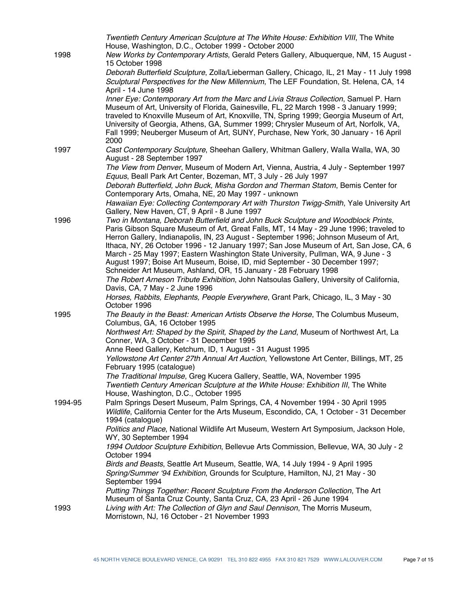| 1998    | Twentieth Century American Sculpture at The White House: Exhibition VIII, The White<br>House, Washington, D.C., October 1999 - October 2000<br>New Works by Contemporary Artists, Gerald Peters Gallery, Albuquerque, NM, 15 August -                                                                                                                                                                                                                                                                                                                                                                 |
|---------|-------------------------------------------------------------------------------------------------------------------------------------------------------------------------------------------------------------------------------------------------------------------------------------------------------------------------------------------------------------------------------------------------------------------------------------------------------------------------------------------------------------------------------------------------------------------------------------------------------|
|         | 15 October 1998<br>Deborah Butterfield Sculpture, Zolla/Lieberman Gallery, Chicago, IL, 21 May - 11 July 1998<br>Sculptural Perspectives for the New Millennium, The LEF Foundation, St. Helena, CA, 14<br>April - 14 June 1998                                                                                                                                                                                                                                                                                                                                                                       |
|         | Inner Eye: Contemporary Art from the Marc and Livia Straus Collection, Samuel P. Harn<br>Museum of Art, University of Florida, Gainesville, FL, 22 March 1998 - 3 January 1999;<br>traveled to Knoxville Museum of Art, Knoxville, TN, Spring 1999; Georgia Museum of Art,<br>University of Georgia, Athens, GA, Summer 1999; Chrysler Museum of Art, Norfolk, VA,<br>Fall 1999; Neuberger Museum of Art, SUNY, Purchase, New York, 30 January - 16 April<br>2000                                                                                                                                     |
| 1997    | Cast Contemporary Sculpture, Sheehan Gallery, Whitman Gallery, Walla Walla, WA, 30<br>August - 28 September 1997                                                                                                                                                                                                                                                                                                                                                                                                                                                                                      |
|         | The View from Denver, Museum of Modern Art, Vienna, Austria, 4 July - September 1997<br>Equus, Beall Park Art Center, Bozeman, MT, 3 July - 26 July 1997<br>Deborah Butterfield, John Buck, Misha Gordon and Therman Statom, Bemis Center for                                                                                                                                                                                                                                                                                                                                                         |
|         | Contemporary Arts, Omaha, NE, 20 May 1997 - unknown                                                                                                                                                                                                                                                                                                                                                                                                                                                                                                                                                   |
|         | Hawaiian Eye: Collecting Contemporary Art with Thurston Twigg-Smith, Yale University Art<br>Gallery, New Haven, CT, 9 April - 8 June 1997                                                                                                                                                                                                                                                                                                                                                                                                                                                             |
| 1996    | Two in Montana, Deborah Butterfield and John Buck Sculpture and Woodblock Prints,<br>Paris Gibson Square Museum of Art, Great Falls, MT, 14 May - 29 June 1996; traveled to<br>Herron Gallery, Indianapolis, IN, 23 August - September 1996; Johnson Museum of Art,<br>Ithaca, NY, 26 October 1996 - 12 January 1997; San Jose Museum of Art, San Jose, CA, 6<br>March - 25 May 1997; Eastern Washington State University, Pullman, WA, 9 June - 3<br>August 1997; Boise Art Museum, Boise, ID, mid September - 30 December 1997;<br>Schneider Art Museum, Ashland, OR, 15 January - 28 February 1998 |
|         | The Robert Arneson Tribute Exhibition, John Natsoulas Gallery, University of California,<br>Davis, CA, 7 May - 2 June 1996                                                                                                                                                                                                                                                                                                                                                                                                                                                                            |
|         | Horses, Rabbits, Elephants, People Everywhere, Grant Park, Chicago, IL, 3 May - 30<br>October 1996                                                                                                                                                                                                                                                                                                                                                                                                                                                                                                    |
| 1995    | The Beauty in the Beast: American Artists Observe the Horse, The Columbus Museum,<br>Columbus, GA, 16 October 1995                                                                                                                                                                                                                                                                                                                                                                                                                                                                                    |
|         | Northwest Art: Shaped by the Spirit, Shaped by the Land, Museum of Northwest Art, La<br>Conner, WA, 3 October - 31 December 1995                                                                                                                                                                                                                                                                                                                                                                                                                                                                      |
|         | Anne Reed Gallery, Ketchum, ID, 1 August - 31 August 1995                                                                                                                                                                                                                                                                                                                                                                                                                                                                                                                                             |
|         | Yellowstone Art Center 27th Annual Art Auction, Yellowstone Art Center, Billings, MT, 25<br>February 1995 (catalogue)                                                                                                                                                                                                                                                                                                                                                                                                                                                                                 |
|         | The Traditional Impulse, Greg Kucera Gallery, Seattle, WA, November 1995<br>Twentieth Century American Sculpture at the White House: Exhibition III, The White<br>House, Washington, D.C., October 1995                                                                                                                                                                                                                                                                                                                                                                                               |
| 1994-95 | Palm Springs Desert Museum, Palm Springs, CA, 4 November 1994 - 30 April 1995<br>Wildlife, California Center for the Arts Museum, Escondido, CA, 1 October - 31 December<br>1994 (catalogue)                                                                                                                                                                                                                                                                                                                                                                                                          |
|         | Politics and Place, National Wildlife Art Museum, Western Art Symposium, Jackson Hole,<br>WY, 30 September 1994                                                                                                                                                                                                                                                                                                                                                                                                                                                                                       |
|         | 1994 Outdoor Sculpture Exhibition, Bellevue Arts Commission, Bellevue, WA, 30 July - 2<br>October 1994                                                                                                                                                                                                                                                                                                                                                                                                                                                                                                |
|         | Birds and Beasts, Seattle Art Museum, Seattle, WA, 14 July 1994 - 9 April 1995<br>Spring/Summer '94 Exhibition, Grounds for Sculpture, Hamilton, NJ, 21 May - 30<br>September 1994                                                                                                                                                                                                                                                                                                                                                                                                                    |
|         | Putting Things Together: Recent Sculpture From the Anderson Collection, The Art<br>Museum of Santa Cruz County, Santa Cruz, CA, 23 April - 26 June 1994                                                                                                                                                                                                                                                                                                                                                                                                                                               |
| 1993    | Living with Art: The Collection of Glyn and Saul Dennison, The Morris Museum,<br>Morristown, NJ, 16 October - 21 November 1993                                                                                                                                                                                                                                                                                                                                                                                                                                                                        |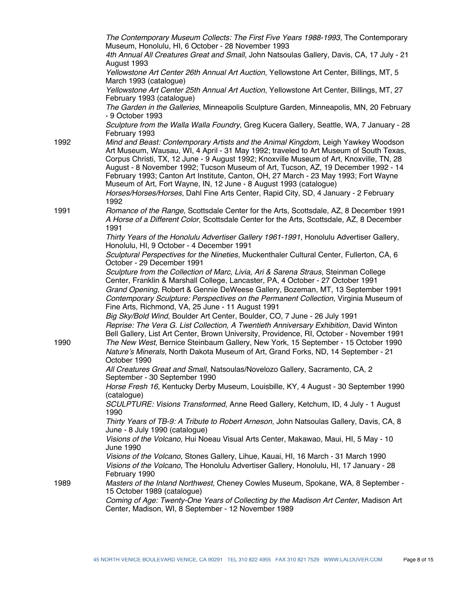|      | The Contemporary Museum Collects: The First Five Years 1988-1993, The Contemporary<br>Museum, Honolulu, HI, 6 October - 28 November 1993<br>4th Annual All Creatures Great and Small, John Natsoulas Gallery, Davis, CA, 17 July - 21                                                                                                                                                                                                                                                                                                                                                                                  |
|------|------------------------------------------------------------------------------------------------------------------------------------------------------------------------------------------------------------------------------------------------------------------------------------------------------------------------------------------------------------------------------------------------------------------------------------------------------------------------------------------------------------------------------------------------------------------------------------------------------------------------|
|      | August 1993<br>Yellowstone Art Center 26th Annual Art Auction, Yellowstone Art Center, Billings, MT, 5<br>March 1993 (catalogue)                                                                                                                                                                                                                                                                                                                                                                                                                                                                                       |
|      | Yellowstone Art Center 25th Annual Art Auction, Yellowstone Art Center, Billings, MT, 27<br>February 1993 (catalogue)                                                                                                                                                                                                                                                                                                                                                                                                                                                                                                  |
|      | The Garden in the Galleries, Minneapolis Sculpture Garden, Minneapolis, MN, 20 February<br>- 9 October 1993                                                                                                                                                                                                                                                                                                                                                                                                                                                                                                            |
|      | Sculpture from the Walla Walla Foundry, Greg Kucera Gallery, Seattle, WA, 7 January - 28<br>February 1993                                                                                                                                                                                                                                                                                                                                                                                                                                                                                                              |
| 1992 | Mind and Beast: Contemporary Artists and the Animal Kingdom, Leigh Yawkey Woodson<br>Art Museum, Wausau, WI, 4 April - 31 May 1992; traveled to Art Museum of South Texas,<br>Corpus Christi, TX, 12 June - 9 August 1992; Knoxville Museum of Art, Knoxville, TN, 28<br>August - 8 November 1992; Tucson Museum of Art, Tucson, AZ, 19 December 1992 - 14<br>February 1993; Canton Art Institute, Canton, OH, 27 March - 23 May 1993; Fort Wayne<br>Museum of Art, Fort Wayne, IN, 12 June - 8 August 1993 (catalogue)<br>Horses/Horses/Horses, Dahl Fine Arts Center, Rapid City, SD, 4 January - 2 February<br>1992 |
| 1991 | Romance of the Range, Scottsdale Center for the Arts, Scottsdale, AZ, 8 December 1991<br>A Horse of a Different Color, Scottsdale Center for the Arts, Scottsdale, AZ, 8 December<br>1991                                                                                                                                                                                                                                                                                                                                                                                                                              |
|      | Thirty Years of the Honolulu Advertiser Gallery 1961-1991, Honolulu Advertiser Gallery,<br>Honolulu, HI, 9 October - 4 December 1991                                                                                                                                                                                                                                                                                                                                                                                                                                                                                   |
|      | Sculptural Perspectives for the Nineties, Muckenthaler Cultural Center, Fullerton, CA, 6<br>October - 29 December 1991                                                                                                                                                                                                                                                                                                                                                                                                                                                                                                 |
|      | Sculpture from the Collection of Marc, Livia, Ari & Sarena Straus, Steinman College<br>Center, Franklin & Marshall College, Lancaster, PA, 4 October - 27 October 1991                                                                                                                                                                                                                                                                                                                                                                                                                                                 |
|      | Grand Opening, Robert & Gennie DeWeese Gallery, Bozeman, MT, 13 September 1991<br>Contemporary Sculpture: Perspectives on the Permanent Collection, Virginia Museum of<br>Fine Arts, Richmond, VA, 25 June - 11 August 1991                                                                                                                                                                                                                                                                                                                                                                                            |
|      | Big Sky/Bold Wind, Boulder Art Center, Boulder, CO, 7 June - 26 July 1991<br>Reprise: The Vera G. List Collection, A Twentieth Anniversary Exhibition, David Winton<br>Bell Gallery, List Art Center, Brown University, Providence, RI, October - November 1991                                                                                                                                                                                                                                                                                                                                                        |
| 1990 | The New West, Bernice Steinbaum Gallery, New York, 15 September - 15 October 1990<br>Nature's Minerals, North Dakota Museum of Art, Grand Forks, ND, 14 September - 21<br>October 1990                                                                                                                                                                                                                                                                                                                                                                                                                                 |
|      | All Creatures Great and Small, Natsoulas/Novelozo Gallery, Sacramento, CA, 2<br>September - 30 September 1990                                                                                                                                                                                                                                                                                                                                                                                                                                                                                                          |
|      | Horse Fresh 16, Kentucky Derby Museum, Louisbille, KY, 4 August - 30 September 1990<br>(catalogue)                                                                                                                                                                                                                                                                                                                                                                                                                                                                                                                     |
|      | SCULPTURE: Visions Transformed, Anne Reed Gallery, Ketchum, ID, 4 July - 1 August<br>1990                                                                                                                                                                                                                                                                                                                                                                                                                                                                                                                              |
|      | Thirty Years of TB-9: A Tribute to Robert Arneson, John Natsoulas Gallery, Davis, CA, 8<br>June - 8 July 1990 (catalogue)                                                                                                                                                                                                                                                                                                                                                                                                                                                                                              |
|      | Visions of the Volcano, Hui Noeau Visual Arts Center, Makawao, Maui, HI, 5 May - 10<br>June 1990                                                                                                                                                                                                                                                                                                                                                                                                                                                                                                                       |
|      | Visions of the Volcano, Stones Gallery, Lihue, Kauai, HI, 16 March - 31 March 1990<br>Visions of the Volcano, The Honolulu Advertiser Gallery, Honolulu, HI, 17 January - 28<br>February 1990                                                                                                                                                                                                                                                                                                                                                                                                                          |
| 1989 | Masters of the Inland Northwest, Cheney Cowles Museum, Spokane, WA, 8 September -<br>15 October 1989 (catalogue)                                                                                                                                                                                                                                                                                                                                                                                                                                                                                                       |
|      | Coming of Age: Twenty-One Years of Collecting by the Madison Art Center, Madison Art<br>Center, Madison, WI, 8 September - 12 November 1989                                                                                                                                                                                                                                                                                                                                                                                                                                                                            |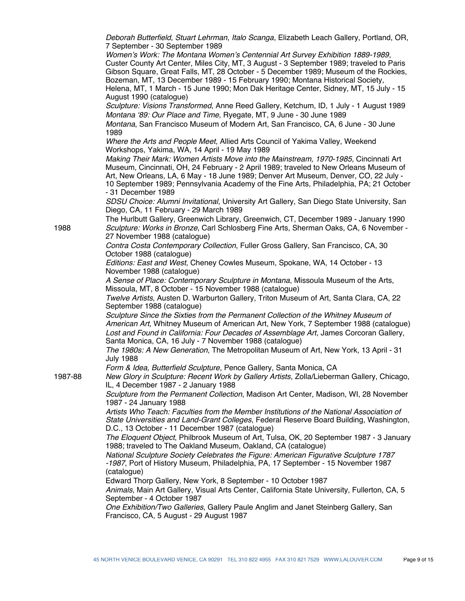*Deborah Butterfield, Stuart Lehrman, Italo Scanga*, Elizabeth Leach Gallery, Portland, OR, 7 September - 30 September 1989

*Women's Work: The Montana Women's Centennial Art Survey Exhibition 1889-1989*, Custer County Art Center, Miles City, MT, 3 August - 3 September 1989; traveled to Paris Gibson Square, Great Falls, MT, 28 October - 5 December 1989; Museum of the Rockies, Bozeman, MT, 13 December 1989 - 15 February 1990; Montana Historical Society, Helena, MT, 1 March - 15 June 1990; Mon Dak Heritage Center, Sidney, MT, 15 July - 15 August 1990 (catalogue)

*Sculpture: Visions Transformed*, Anne Reed Gallery, Ketchum, ID, 1 July - 1 August 1989 *Montana '89: Our Place and Time*, Ryegate, MT, 9 June - 30 June 1989

*Montana*, San Francisco Museum of Modern Art, San Francisco, CA, 6 June - 30 June 1989

*Where the Arts and People Meet*, Allied Arts Council of Yakima Valley, Weekend Workshops, Yakima, WA, 14 April - 19 May 1989

*Making Their Mark: Women Artists Move into the Mainstream, 1970-1985*, Cincinnati Art Museum, Cincinnati, OH, 24 February - 2 April 1989; traveled to New Orleans Museum of Art, New Orleans, LA, 6 May - 18 June 1989; Denver Art Museum, Denver, CO, 22 July - 10 September 1989; Pennsylvania Academy of the Fine Arts, Philadelphia, PA; 21 October - 31 December 1989

*SDSU Choice: Alumni Invitational*, University Art Gallery, San Diego State University, San Diego, CA, 11 February - 29 March 1989

The Hurlbutt Gallery, Greenwich Library, Greenwich, CT, December 1989 - January 1990 *Sculpture: Works in Bronze*, Carl Schlosberg Fine Arts, Sherman Oaks, CA, 6 November - 27 November 1988 (catalogue)

*Contra Costa Contemporary Collection*, Fuller Gross Gallery, San Francisco, CA, 30 October 1988 (catalogue)

*Editions: East and West*, Cheney Cowles Museum, Spokane, WA, 14 October - 13 November 1988 (catalogue)

*A Sense of Place: Contemporary Sculpture in Montana*, Missoula Museum of the Arts, Missoula, MT, 8 October - 15 November 1988 (catalogue)

*Twelve Artists*, Austen D. Warburton Gallery, Triton Museum of Art, Santa Clara, CA, 22 September 1988 (catalogue)

*Sculpture Since the Sixties from the Permanent Collection of the Whitney Museum of American Art*, Whitney Museum of American Art, New York, 7 September 1988 (catalogue) *Lost and Found in California: Four Decades of Assemblage Art*, James Corcoran Gallery, Santa Monica, CA, 16 July - 7 November 1988 (catalogue)

*The 1980s: A New Generation*, The Metropolitan Museum of Art, New York, 13 April - 31 July 1988

*Form & Idea, Butterfield Sculpture*, Pence Gallery, Santa Monica, CA

1987-88

1988

*New Glory in Sculpture: Recent Work by Gallery Artists*, Zolla/Lieberman Gallery, Chicago, IL, 4 December 1987 - 2 January 1988

*Sculpture from the Permanent Collection*, Madison Art Center, Madison, WI, 28 November 1987 - 24 January 1988

*Artists Who Teach: Faculties from the Member Institutions of the National Association of State Universities and Land-Grant Colleges*, Federal Reserve Board Building, Washington, D.C., 13 October - 11 December 1987 (catalogue)

*The Eloquent Object*, Philbrook Museum of Art, Tulsa, OK, 20 September 1987 - 3 January 1988; traveled to The Oakland Museum, Oakland, CA (catalogue)

*National Sculpture Society Celebrates the Figure: American Figurative Sculpture 1787 -1987*, Port of History Museum, Philadelphia, PA, 17 September - 15 November 1987 (catalogue)

Edward Thorp Gallery, New York, 8 September - 10 October 1987

*Animals*, Main Art Gallery, Visual Arts Center, California State University, Fullerton, CA, 5 September - 4 October 1987

*One Exhibition/Two Galleries*, Gallery Paule Anglim and Janet Steinberg Gallery, San Francisco, CA, 5 August - 29 August 1987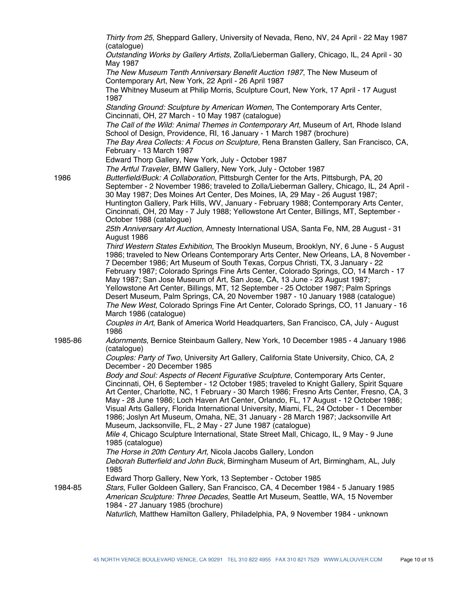|         | Thirty from 25, Sheppard Gallery, University of Nevada, Reno, NV, 24 April - 22 May 1987<br>(catalogue)                                                                                                                                                                                                                                                                                                                                                                                                                                                                                                         |
|---------|-----------------------------------------------------------------------------------------------------------------------------------------------------------------------------------------------------------------------------------------------------------------------------------------------------------------------------------------------------------------------------------------------------------------------------------------------------------------------------------------------------------------------------------------------------------------------------------------------------------------|
|         | Outstanding Works by Gallery Artists, Zolla/Lieberman Gallery, Chicago, IL, 24 April - 30<br>May 1987                                                                                                                                                                                                                                                                                                                                                                                                                                                                                                           |
|         | The New Museum Tenth Anniversary Benefit Auction 1987, The New Museum of<br>Contemporary Art, New York, 22 April - 26 April 1987                                                                                                                                                                                                                                                                                                                                                                                                                                                                                |
|         | The Whitney Museum at Philip Morris, Sculpture Court, New York, 17 April - 17 August<br>1987                                                                                                                                                                                                                                                                                                                                                                                                                                                                                                                    |
|         | Standing Ground: Sculpture by American Women, The Contemporary Arts Center,<br>Cincinnati, OH, 27 March - 10 May 1987 (catalogue)                                                                                                                                                                                                                                                                                                                                                                                                                                                                               |
|         | The Call of the Wild: Animal Themes in Contemporary Art, Museum of Art, Rhode Island<br>School of Design, Providence, RI, 16 January - 1 March 1987 (brochure)<br>The Bay Area Collects: A Focus on Sculpture, Rena Bransten Gallery, San Francisco, CA,                                                                                                                                                                                                                                                                                                                                                        |
|         | February - 13 March 1987                                                                                                                                                                                                                                                                                                                                                                                                                                                                                                                                                                                        |
|         | Edward Thorp Gallery, New York, July - October 1987<br>The Artful Traveler, BMW Gallery, New York, July - October 1987                                                                                                                                                                                                                                                                                                                                                                                                                                                                                          |
| 1986    | Butterfield/Buck: A Collaboration, Pittsburgh Center for the Arts, Pittsburgh, PA, 20<br>September - 2 November 1986; traveled to Zolla/Lieberman Gallery, Chicago, IL, 24 April -<br>30 May 1987; Des Moines Art Center, Des Moines, IA, 29 May - 26 August 1987;<br>Huntington Gallery, Park Hills, WV, January - February 1988; Contemporary Arts Center,<br>Cincinnati, OH, 20 May - 7 July 1988; Yellowstone Art Center, Billings, MT, September -                                                                                                                                                         |
|         | October 1988 (catalogue)<br>25th Anniversary Art Auction, Amnesty International USA, Santa Fe, NM, 28 August - 31<br>August 1986                                                                                                                                                                                                                                                                                                                                                                                                                                                                                |
|         | Third Western States Exhibition, The Brooklyn Museum, Brooklyn, NY, 6 June - 5 August<br>1986; traveled to New Orleans Contemporary Arts Center, New Orleans, LA, 8 November -<br>7 December 1986; Art Museum of South Texas, Corpus Christi, TX, 3 January - 22<br>February 1987; Colorado Springs Fine Arts Center, Colorado Springs, CO, 14 March - 17                                                                                                                                                                                                                                                       |
|         | May 1987; San Jose Museum of Art, San Jose, CA, 13 June - 23 August 1987;<br>Yellowstone Art Center, Billings, MT, 12 September - 25 October 1987; Palm Springs<br>Desert Museum, Palm Springs, CA, 20 November 1987 - 10 January 1988 (catalogue)<br>The New West, Colorado Springs Fine Art Center, Colorado Springs, CO, 11 January - 16<br>March 1986 (catalogue)                                                                                                                                                                                                                                           |
|         | Couples in Art, Bank of America World Headquarters, San Francisco, CA, July - August<br>1986                                                                                                                                                                                                                                                                                                                                                                                                                                                                                                                    |
| 1985-86 | Adornments, Bernice Steinbaum Gallery, New York, 10 December 1985 - 4 January 1986<br>(catalogue)                                                                                                                                                                                                                                                                                                                                                                                                                                                                                                               |
|         | Couples: Party of Two, University Art Gallery, California State University, Chico, CA, 2<br>December - 20 December 1985                                                                                                                                                                                                                                                                                                                                                                                                                                                                                         |
|         | Body and Soul: Aspects of Recent Figurative Sculpture, Contemporary Arts Center,<br>Cincinnati, OH, 6 September - 12 October 1985; traveled to Knight Gallery, Spirit Square<br>Art Center, Charlotte, NC, 1 February - 30 March 1986; Fresno Arts Center, Fresno, CA, 3<br>May - 28 June 1986; Loch Haven Art Center, Orlando, FL, 17 August - 12 October 1986;<br>Visual Arts Gallery, Florida International University, Miami, FL, 24 October - 1 December<br>1986; Joslyn Art Museum, Omaha, NE, 31 January - 28 March 1987; Jacksonville Art<br>Museum, Jacksonville, FL, 2 May - 27 June 1987 (catalogue) |
|         | Mile 4, Chicago Sculpture International, State Street Mall, Chicago, IL, 9 May - 9 June<br>1985 (catalogue)                                                                                                                                                                                                                                                                                                                                                                                                                                                                                                     |
|         | The Horse in 20th Century Art, Nicola Jacobs Gallery, London<br>Deborah Butterfield and John Buck, Birmingham Museum of Art, Birmingham, AL, July<br>1985                                                                                                                                                                                                                                                                                                                                                                                                                                                       |
|         | Edward Thorp Gallery, New York, 13 September - October 1985                                                                                                                                                                                                                                                                                                                                                                                                                                                                                                                                                     |
| 1984-85 | Stars, Fuller Goldeen Gallery, San Francisco, CA, 4 December 1984 - 5 January 1985<br>American Sculpture: Three Decades, Seattle Art Museum, Seattle, WA, 15 November<br>1984 - 27 January 1985 (brochure)                                                                                                                                                                                                                                                                                                                                                                                                      |
|         | Naturlich, Matthew Hamilton Gallery, Philadelphia, PA, 9 November 1984 - unknown                                                                                                                                                                                                                                                                                                                                                                                                                                                                                                                                |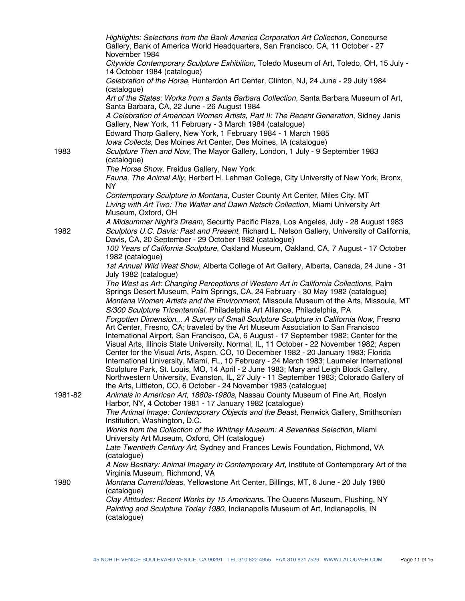|         | Highlights: Selections from the Bank America Corporation Art Collection, Concourse<br>Gallery, Bank of America World Headquarters, San Francisco, CA, 11 October - 27<br>November 1984                                                                                                                                                                                                                                                             |
|---------|----------------------------------------------------------------------------------------------------------------------------------------------------------------------------------------------------------------------------------------------------------------------------------------------------------------------------------------------------------------------------------------------------------------------------------------------------|
|         | Citywide Contemporary Sculpture Exhibition, Toledo Museum of Art, Toledo, OH, 15 July -<br>14 October 1984 (catalogue)                                                                                                                                                                                                                                                                                                                             |
|         | Celebration of the Horse, Hunterdon Art Center, Clinton, NJ, 24 June - 29 July 1984<br>(catalogue)                                                                                                                                                                                                                                                                                                                                                 |
|         | Art of the States: Works from a Santa Barbara Collection, Santa Barbara Museum of Art,<br>Santa Barbara, CA, 22 June - 26 August 1984                                                                                                                                                                                                                                                                                                              |
|         | A Celebration of American Women Artists, Part II: The Recent Generation, Sidney Janis<br>Gallery, New York, 11 February - 3 March 1984 (catalogue)                                                                                                                                                                                                                                                                                                 |
|         | Edward Thorp Gallery, New York, 1 February 1984 - 1 March 1985                                                                                                                                                                                                                                                                                                                                                                                     |
|         | Iowa Collects, Des Moines Art Center, Des Moines, IA (catalogue)                                                                                                                                                                                                                                                                                                                                                                                   |
| 1983    | Sculpture Then and Now, The Mayor Gallery, London, 1 July - 9 September 1983<br>(catalogue)                                                                                                                                                                                                                                                                                                                                                        |
|         | The Horse Show, Freidus Gallery, New York                                                                                                                                                                                                                                                                                                                                                                                                          |
|         | Fauna, The Animal Ally, Herbert H. Lehman College, City University of New York, Bronx,<br>NY.                                                                                                                                                                                                                                                                                                                                                      |
|         | Contemporary Sculpture in Montana, Custer County Art Center, Miles City, MT<br>Living with Art Two: The Walter and Dawn Netsch Collection, Miami University Art<br>Museum, Oxford, OH                                                                                                                                                                                                                                                              |
| 1982    | A Midsummer Night's Dream, Security Pacific Plaza, Los Angeles, July - 28 August 1983<br>Sculptors U.C. Davis: Past and Present, Richard L. Nelson Gallery, University of California,<br>Davis, CA, 20 September - 29 October 1982 (catalogue)                                                                                                                                                                                                     |
|         | 100 Years of California Sculpture, Oakland Museum, Oakland, CA, 7 August - 17 October<br>1982 (catalogue)                                                                                                                                                                                                                                                                                                                                          |
|         | 1st Annual Wild West Show, Alberta College of Art Gallery, Alberta, Canada, 24 June - 31<br>July 1982 (catalogue)                                                                                                                                                                                                                                                                                                                                  |
|         | The West as Art: Changing Perceptions of Western Art in California Collections, Palm<br>Springs Desert Museum, Palm Springs, CA, 24 February - 30 May 1982 (catalogue)<br>Montana Women Artists and the Environment, Missoula Museum of the Arts, Missoula, MT<br>S/300 Sculpture Tricentennial, Philadelphia Art Alliance, Philadelphia, PA                                                                                                       |
|         | Forgotten Dimension A Survey of Small Sculpture Sculpture in California Now, Fresno<br>Art Center, Fresno, CA; traveled by the Art Museum Association to San Francisco<br>International Airport, San Francisco, CA, 6 August - 17 September 1982; Center for the<br>Visual Arts, Illinois State University, Normal, IL, 11 October - 22 November 1982; Aspen<br>Center for the Visual Arts, Aspen, CO, 10 December 1982 - 20 January 1983; Florida |
|         | International University, Miami, FL, 10 February - 24 March 1983; Laumeier International<br>Sculpture Park, St. Louis, MO, 14 April - 2 June 1983; Mary and Leigh Block Gallery,<br>Northwestern University, Evanston, IL, 27 July - 11 September 1983; Colorado Gallery of<br>the Arts, Littleton, CO, 6 October - 24 November 1983 (catalogue)                                                                                                   |
| 1981-82 | Animals in American Art, 1880s-1980s, Nassau County Museum of Fine Art, Roslyn<br>Harbor, NY, 4 October 1981 - 17 January 1982 (catalogue)                                                                                                                                                                                                                                                                                                         |
|         | The Animal Image: Contemporary Objects and the Beast, Renwick Gallery, Smithsonian<br>Institution, Washington, D.C.                                                                                                                                                                                                                                                                                                                                |
|         | Works from the Collection of the Whitney Museum: A Seventies Selection, Miami<br>University Art Museum, Oxford, OH (catalogue)                                                                                                                                                                                                                                                                                                                     |
|         | Late Twentieth Century Art, Sydney and Frances Lewis Foundation, Richmond, VA<br>(catalogue)                                                                                                                                                                                                                                                                                                                                                       |
|         | A New Bestiary: Animal Imagery in Contemporary Art, Institute of Contemporary Art of the<br>Virginia Museum, Richmond, VA                                                                                                                                                                                                                                                                                                                          |
| 1980    | Montana Current/Ideas, Yellowstone Art Center, Billings, MT, 6 June - 20 July 1980<br>(catalogue)                                                                                                                                                                                                                                                                                                                                                  |
|         | Clay Attitudes: Recent Works by 15 Americans, The Queens Museum, Flushing, NY<br>Painting and Sculpture Today 1980, Indianapolis Museum of Art, Indianapolis, IN<br>(catalogue)                                                                                                                                                                                                                                                                    |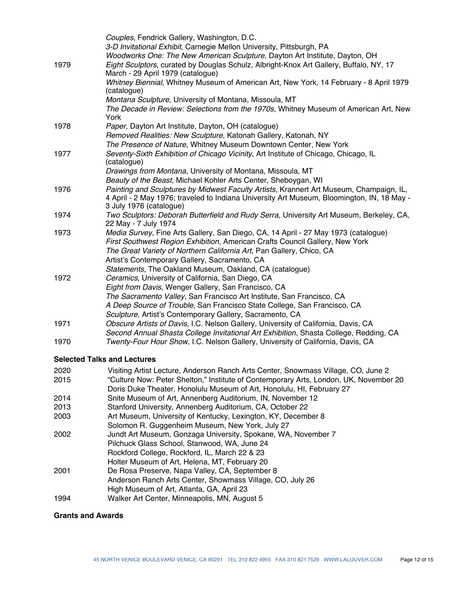|      | Couples, Fendrick Gallery, Washington, D.C.                                                                     |
|------|-----------------------------------------------------------------------------------------------------------------|
|      | 3-D Invitational Exhibit, Carnegie Mellon University, Pittsburgh, PA                                            |
|      | Woodworks One: The New American Sculpture, Dayton Art Institute, Dayton, OH                                     |
| 1979 | Eight Sculptors, curated by Douglas Schulz, Albright-Knox Art Gallery, Buffalo, NY, 17                          |
|      | March - 29 April 1979 (catalogue)                                                                               |
|      | Whitney Biennial, Whitney Museum of American Art, New York, 14 February - 8 April 1979<br>(catalogue)           |
|      | Montana Sculpture, University of Montana, Missoula, MT                                                          |
|      | The Decade in Review: Selections from the 1970s, Whitney Museum of American Art, New                            |
|      | York                                                                                                            |
| 1978 | Paper, Dayton Art Institute, Dayton, OH (catalogue)                                                             |
|      | Removed Realities: New Sculpture, Katonah Gallery, Katonah, NY                                                  |
|      | The Presence of Nature, Whitney Museum Downtown Center, New York                                                |
| 1977 | Seventy-Sixth Exhibition of Chicago Vicinity, Art Institute of Chicago, Chicago, IL                             |
|      | (catalogue)                                                                                                     |
|      | Drawings from Montana, University of Montana, Missoula, MT                                                      |
|      | Beauty of the Beast, Michael Kohler Arts Center, Sheboygan, WI                                                  |
| 1976 | Painting and Sculptures by Midwest Faculty Artists, Krannert Art Museum, Champaign, IL,                         |
|      | 4 April - 2 May 1976; traveled to Indiana University Art Museum, Bloomington, IN, 18 May -                      |
|      | 3 July 1976 (catalogue)                                                                                         |
| 1974 | Two Sculptors: Deborah Butterfield and Rudy Serra, University Art Museum, Berkeley, CA,<br>22 May - 7 July 1974 |
| 1973 | Media Survey, Fine Arts Gallery, San Diego, CA, 14 April - 27 May 1973 (catalogue)                              |
|      | First Southwest Region Exhibition, American Crafts Council Gallery, New York                                    |
|      | The Great Variety of Northern California Art, Pan Gallery, Chico, CA                                            |
|      | Artist's Contemporary Gallery, Sacramento, CA                                                                   |
|      | Statements, The Oakland Museum, Oakland, CA (catalogue)                                                         |
| 1972 | Ceramics, University of California, San Diego, CA                                                               |
|      | Eight from Davis, Wenger Gallery, San Francisco, CA                                                             |
|      | The Sacramento Valley, San Francisco Art Institute, San Francisco, CA                                           |
|      | A Deep Source of Trouble, San Francisco State College, San Francisco, CA                                        |
|      | Sculpture, Artist's Contemporary Gallery, Sacramento, CA                                                        |
| 1971 | Obscure Artists of Davis, I.C. Nelson Gallery, University of California, Davis, CA                              |
|      | Second Annual Shasta College Invitational Art Exhibition, Shasta College, Redding, CA                           |
| 1970 | Twenty-Four Hour Show, I.C. Nelson Gallery, University of California, Davis, CA                                 |
|      |                                                                                                                 |

## **Selected Talks and Lectures**

| 2020 | Visiting Artist Lecture, Anderson Ranch Arts Center, Snowmass Village, CO, June 2     |
|------|---------------------------------------------------------------------------------------|
| 2015 | "Culture Now: Peter Shelton," Institute of Contemporary Arts, London, UK, November 20 |
|      | Doris Duke Theater, Honolulu Museum of Art, Honolulu, HI, February 27                 |
| 2014 | Snite Museum of Art, Annenberg Auditorium, IN, November 12                            |
| 2013 | Stanford University, Annenberg Auditorium, CA, October 22                             |
| 2003 | Art Museum, University of Kentucky, Lexington, KY, December 8                         |
|      | Solomon R. Guggenheim Museum, New York, July 27                                       |
| 2002 | Jundt Art Museum, Gonzaga University, Spokane, WA, November 7                         |
|      | Pilchuck Glass School, Stanwood, WA, June 24                                          |
|      | Rockford College, Rockford, IL, March 22 & 23                                         |
|      | Holter Museum of Art, Helena, MT, February 20                                         |
| 2001 | De Rosa Preserve, Napa Valley, CA, September 8                                        |
|      | Anderson Ranch Arts Center, Showmass Village, CO, July 26                             |
|      | High Museum of Art, Atlanta, GA, April 23                                             |
| 1994 | Walker Art Center, Minneapolis, MN, August 5                                          |
|      |                                                                                       |

## **Grants and Awards**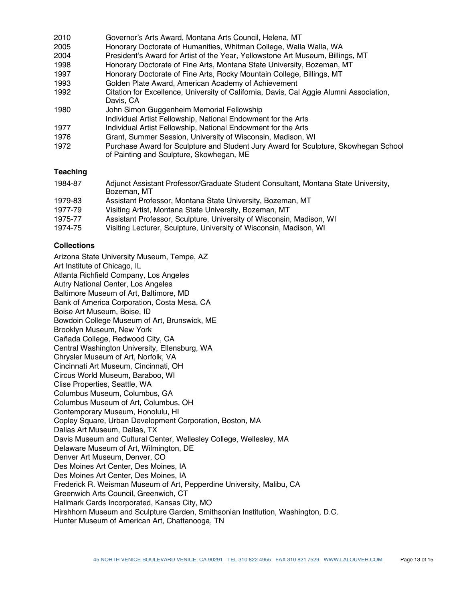| 2010 | Governor's Arts Award, Montana Arts Council, Helena, MT                                                                         |
|------|---------------------------------------------------------------------------------------------------------------------------------|
| 2005 | Honorary Doctorate of Humanities, Whitman College, Walla Walla, WA                                                              |
| 2004 | President's Award for Artist of the Year, Yellowstone Art Museum, Billings, MT                                                  |
| 1998 | Honorary Doctorate of Fine Arts, Montana State University, Bozeman, MT                                                          |
| 1997 | Honorary Doctorate of Fine Arts, Rocky Mountain College, Billings, MT                                                           |
| 1993 | Golden Plate Award, American Academy of Achievement                                                                             |
| 1992 | Citation for Excellence, University of California, Davis, Cal Aggie Alumni Association,<br>Davis, CA                            |
| 1980 | John Simon Guggenheim Memorial Fellowship                                                                                       |
|      | Individual Artist Fellowship, National Endowment for the Arts                                                                   |
| 1977 | Individual Artist Fellowship, National Endowment for the Arts                                                                   |
| 1976 | Grant, Summer Session, University of Wisconsin, Madison, WI                                                                     |
| 1972 | Purchase Award for Sculpture and Student Jury Award for Sculpture, Skowhegan School<br>of Painting and Sculpture, Skowhegan, ME |

#### **Teaching**

| 1984-87 | Adjunct Assistant Professor/Graduate Student Consultant, Montana State University, |
|---------|------------------------------------------------------------------------------------|
|         | Bozeman, MT                                                                        |
| 1979-83 | Assistant Professor, Montana State University, Bozeman, MT                         |
| 1977-79 | Visiting Artist, Montana State University, Bozeman, MT                             |
| 1975-77 | Assistant Professor, Sculpture, University of Wisconsin, Madison, WI               |
| 1974-75 | Visiting Lecturer, Sculpture, University of Wisconsin, Madison, WI                 |

#### **Collections**

Arizona State University Museum, Tempe, AZ Art Institute of Chicago, IL Atlanta Richfield Company, Los Angeles Autry National Center, Los Angeles Baltimore Museum of Art, Baltimore, MD Bank of America Corporation, Costa Mesa, CA Boise Art Museum, Boise, ID Bowdoin College Museum of Art, Brunswick, ME Brooklyn Museum, New York Cañada College, Redwood City, CA Central Washington University, Ellensburg, WA Chrysler Museum of Art, Norfolk, VA Cincinnati Art Museum, Cincinnati, OH Circus World Museum, Baraboo, WI Clise Properties, Seattle, WA Columbus Museum, Columbus, GA Columbus Museum of Art, Columbus, OH Contemporary Museum, Honolulu, HI Copley Square, Urban Development Corporation, Boston, MA Dallas Art Museum, Dallas, TX Davis Museum and Cultural Center, Wellesley College, Wellesley, MA Delaware Museum of Art, Wilmington, DE Denver Art Museum, Denver, CO Des Moines Art Center, Des Moines, IA Des Moines Art Center, Des Moines, IA Frederick R. Weisman Museum of Art, Pepperdine University, Malibu, CA Greenwich Arts Council, Greenwich, CT Hallmark Cards Incorporated, Kansas City, MO Hirshhorn Museum and Sculpture Garden, Smithsonian Institution, Washington, D.C. Hunter Museum of American Art, Chattanooga, TN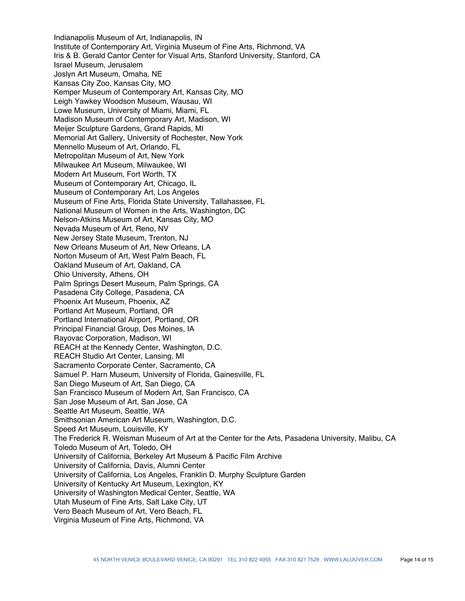Indianapolis Museum of Art, Indianapolis, IN Institute of Contemporary Art, Virginia Museum of Fine Arts, Richmond, VA Iris & B. Gerald Cantor Center for Visual Arts, Stanford University, Stanford, CA Israel Museum, Jerusalem Joslyn Art Museum, Omaha, NE Kansas City Zoo, Kansas City, MO Kemper Museum of Contemporary Art, Kansas City, MO Leigh Yawkey Woodson Museum, Wausau, WI Lowe Museum, University of Miami, Miami, FL Madison Museum of Contemporary Art, Madison, WI Meijer Sculpture Gardens, Grand Rapids, MI Memorial Art Gallery, University of Rochester, New York Mennello Museum of Art, Orlando, FL Metropolitan Museum of Art, New York Milwaukee Art Museum, Milwaukee, WI Modern Art Museum, Fort Worth, TX Museum of Contemporary Art, Chicago, IL Museum of Contemporary Art, Los Angeles Museum of Fine Arts, Florida State University, Tallahassee, FL National Museum of Women in the Arts, Washington, DC Nelson-Atkins Museum of Art, Kansas City, MO Nevada Museum of Art, Reno, NV New Jersey State Museum, Trenton, NJ New Orleans Museum of Art, New Orleans, LA Norton Museum of Art, West Palm Beach, FL Oakland Museum of Art, Oakland, CA Ohio University, Athens, OH Palm Springs Desert Museum, Palm Springs, CA Pasadena City College, Pasadena, CA Phoenix Art Museum, Phoenix, AZ Portland Art Museum, Portland, OR Portland International Airport, Portland, OR Principal Financial Group, Des Moines, IA Rayovac Corporation, Madison, WI REACH at the Kennedy Center, Washington, D.C. REACH Studio Art Center, Lansing, MI Sacramento Corporate Center, Sacramento, CA Samuel P. Harn Museum, University of Florida, Gainesville, FL San Diego Museum of Art, San Diego, CA San Francisco Museum of Modern Art, San Francisco, CA San Jose Museum of Art, San Jose, CA Seattle Art Museum, Seattle, WA Smithsonian American Art Museum, Washington, D.C. Speed Art Museum, Louisville, KY The Frederick R. Weisman Museum of Art at the Center for the Arts, Pasadena University, Malibu, CA Toledo Museum of Art, Toledo, OH University of California, Berkeley Art Museum & Pacific Film Archive University of California, Davis, Alumni Center University of California, Los Angeles, Franklin D. Murphy Sculpture Garden University of Kentucky Art Museum, Lexington, KY University of Washington Medical Center, Seattle, WA Utah Museum of Fine Arts, Salt Lake City, UT Vero Beach Museum of Art, Vero Beach, FL Virginia Museum of Fine Arts, Richmond, VA